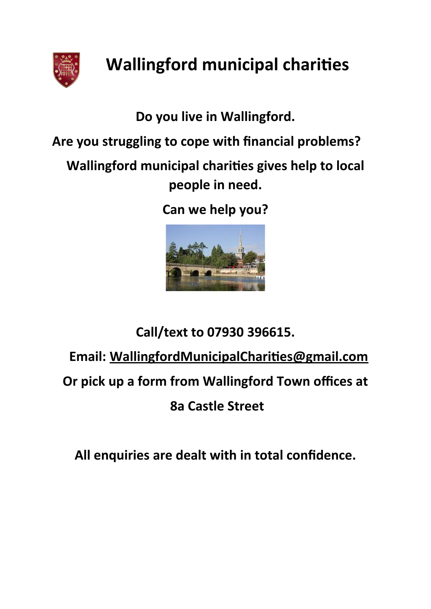

## **Wallingford municipal charities**

**Do you live in Wallingford.**

**Are you struggling to cope with financial problems?**

**Wallingford municipal charities gives help to local people in need.**

**Can we help you?**



## **Call/text to 07930 396615. Email: [WallingfordMunicipalCharities@gmail.com](mailto:WallingfordMunicipalCharities@gmail.com) Or pick up a form from Wallingford Town offices at 8a Castle Street**

**All enquiries are dealt with in total confidence.**